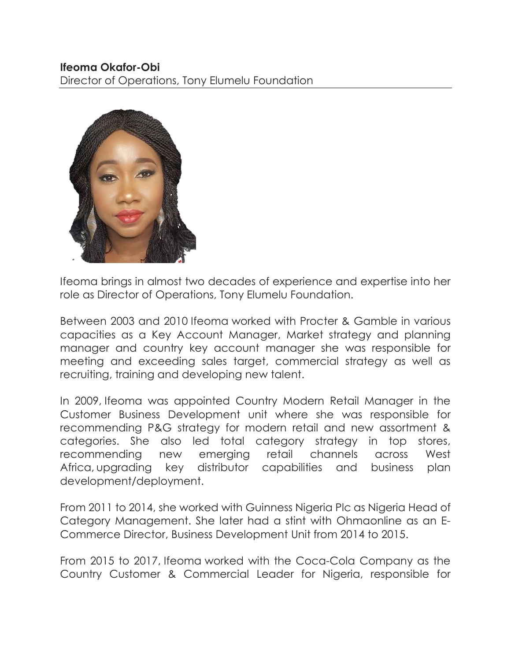## **Ifeoma Okafor-Obi**

Director of Operations, Tony Elumelu Foundation



Ifeoma brings in almost two decades of experience and expertise into her role as Director of Operations, Tony Elumelu Foundation.

Between 2003 and 2010 Ifeoma worked with Procter & Gamble in various capacities as a Key Account Manager, Market strategy and planning manager and country key account manager she was responsible for meeting and exceeding sales target, commercial strategy as well as recruiting, training and developing new talent.

In 2009, Ifeoma was appointed Country Modern Retail Manager in the Customer Business Development unit where she was responsible for recommending P&G strategy for modern retail and new assortment & categories. She also led total category strategy in top stores, recommending new emerging retail channels across West Africa, upgrading key distributor capabilities and business plan development/deployment.

From 2011 to 2014, she worked with Guinness Nigeria Plc as Nigeria Head of Category Management. She later had a stint with Ohmaonline as an E-Commerce Director, Business Development Unit from 2014 to 2015.

From 2015 to 2017, Ifeoma worked with the Coca-Cola Company as the Country Customer & Commercial Leader for Nigeria, responsible for